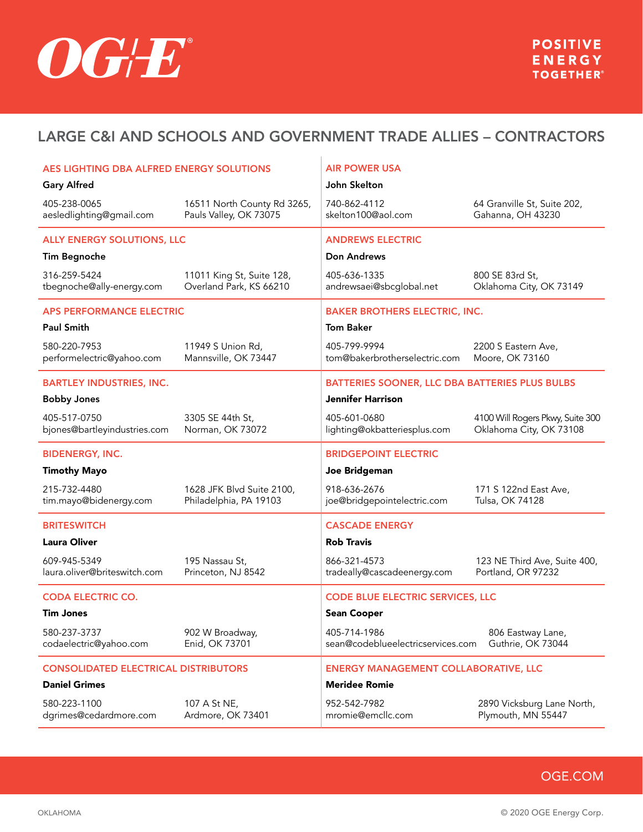

| AES LIGHTING DBA ALFRED ENERGY SOLUTIONS<br><b>Gary Alfred</b> |                                                       | <b>AIR POWER USA</b><br>John Skelton              |                                                             |  |
|----------------------------------------------------------------|-------------------------------------------------------|---------------------------------------------------|-------------------------------------------------------------|--|
| 405-238-0065<br>aesledlighting@gmail.com                       | 16511 North County Rd 3265,<br>Pauls Valley, OK 73075 | 740-862-4112<br>skelton100@aol.com                | 64 Granville St, Suite 202,<br>Gahanna, OH 43230            |  |
| <b>ALLY ENERGY SOLUTIONS, LLC</b>                              |                                                       | <b>ANDREWS ELECTRIC</b>                           |                                                             |  |
| <b>Tim Begnoche</b>                                            |                                                       | Don Andrews                                       |                                                             |  |
| 316-259-5424<br>tbegnoche@ally-energy.com                      | 11011 King St, Suite 128,<br>Overland Park, KS 66210  | 405-636-1335<br>andrewsaei@sbcglobal.net          | 800 SE 83rd St,<br>Oklahoma City, OK 73149                  |  |
| <b>APS PERFORMANCE ELECTRIC</b>                                |                                                       | <b>BAKER BROTHERS ELECTRIC, INC.</b>              |                                                             |  |
| <b>Paul Smith</b>                                              |                                                       | <b>Tom Baker</b>                                  |                                                             |  |
| 580-220-7953<br>performelectric@yahoo.com                      | 11949 S Union Rd,<br>Mannsville, OK 73447             | 405-799-9994<br>tom@bakerbrotherselectric.com     | 2200 S Eastern Ave,<br>Moore, OK 73160                      |  |
| <b>BARTLEY INDUSTRIES, INC.</b>                                |                                                       | BATTERIES SOONER, LLC DBA BATTERIES PLUS BULBS    |                                                             |  |
| <b>Bobby Jones</b>                                             |                                                       | Jennifer Harrison                                 |                                                             |  |
| 405-517-0750<br>bjones@bartleyindustries.com                   | 3305 SE 44th St,<br>Norman, OK 73072                  | 405-601-0680<br>lighting@okbatteriesplus.com      | 4100 Will Rogers Pkwy, Suite 300<br>Oklahoma City, OK 73108 |  |
| <b>BIDENERGY, INC.</b>                                         |                                                       | <b>BRIDGEPOINT ELECTRIC</b>                       |                                                             |  |
| <b>Timothy Mayo</b>                                            |                                                       | Joe Bridgeman                                     |                                                             |  |
| 215-732-4480<br>tim.mayo@bidenergy.com                         | 1628 JFK Blvd Suite 2100,<br>Philadelphia, PA 19103   | 918-636-2676<br>joe@bridgepointelectric.com       | 171 S 122nd East Ave,<br>Tulsa, OK 74128                    |  |
| <b>BRITESWITCH</b>                                             |                                                       | <b>CASCADE ENERGY</b>                             |                                                             |  |
| <b>Laura Oliver</b>                                            |                                                       | <b>Rob Travis</b>                                 |                                                             |  |
| 609-945-5349<br>laura.oliver@briteswitch.com                   | 195 Nassau St,<br>Princeton, NJ 8542                  | 866-321-4573<br>tradeally@cascadeenergy.com       | 123 NE Third Ave, Suite 400,<br>Portland, OR 97232          |  |
| <b>CODA ELECTRIC CO.</b>                                       |                                                       | <b>CODE BLUE ELECTRIC SERVICES, LLC</b>           |                                                             |  |
| <b>Tim Jones</b>                                               |                                                       | <b>Sean Cooper</b>                                |                                                             |  |
| 580-237-3737<br>codaelectric@yahoo.com                         | 902 W Broadway,<br>Enid, OK 73701                     | 405-714-1986<br>sean@codeblueelectricservices.com | 806 Eastway Lane,<br>Guthrie, OK 73044                      |  |
| <b>CONSOLIDATED ELECTRICAL DISTRIBUTORS</b>                    |                                                       | <b>ENERGY MANAGEMENT COLLABORATIVE, LLC</b>       |                                                             |  |
| <b>Daniel Grimes</b>                                           |                                                       | <b>Meridee Romie</b>                              |                                                             |  |
| 580-223-1100<br>dgrimes@cedardmore.com                         | 107 A St NE,<br>Ardmore, OK 73401                     | 952-542-7982<br>mromie@emcllc.com                 | 2890 Vicksburg Lane North,<br>Plymouth, MN 55447            |  |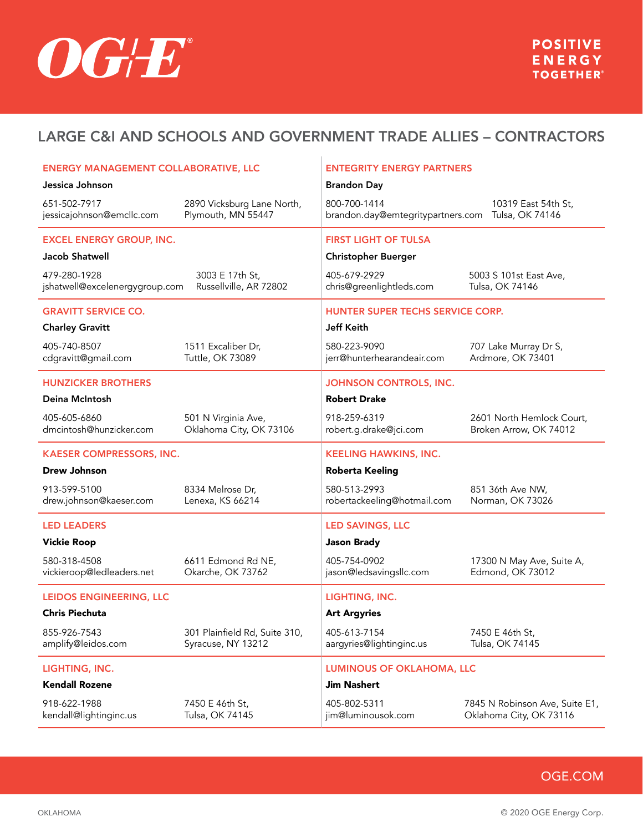

| <b>ENERGY MANAGEMENT COLLABORATIVE, LLC</b>    |                                                     | <b>ENTEGRITY ENERGY PARTNERS</b>                  |                                                     |  |
|------------------------------------------------|-----------------------------------------------------|---------------------------------------------------|-----------------------------------------------------|--|
| Jessica Johnson                                |                                                     | <b>Brandon Day</b>                                |                                                     |  |
| 651-502-7917<br>jessicajohnson@emcllc.com      | 2890 Vicksburg Lane North,<br>Plymouth, MN 55447    | 800-700-1414<br>brandon.day@emtegritypartners.com | 10319 East 54th St,<br>Tulsa, OK 74146              |  |
| <b>EXCEL ENERGY GROUP, INC.</b>                |                                                     | <b>FIRST LIGHT OF TULSA</b>                       |                                                     |  |
| Jacob Shatwell                                 |                                                     | <b>Christopher Buerger</b>                        |                                                     |  |
| 479-280-1928<br>jshatwell@excelenergygroup.com | 3003 E 17th St,<br>Russellville, AR 72802           | 405-679-2929<br>chris@greenlightleds.com          | 5003 S 101st East Ave,<br>Tulsa, OK 74146           |  |
| <b>GRAVITT SERVICE CO.</b>                     |                                                     | HUNTER SUPER TECHS SERVICE CORP.                  |                                                     |  |
| <b>Charley Gravitt</b>                         |                                                     | <b>Jeff Keith</b>                                 |                                                     |  |
| 405-740-8507<br>cdgravitt@gmail.com            | 1511 Excaliber Dr,<br>Tuttle, OK 73089              | 580-223-9090<br>jerr@hunterhearandeair.com        | 707 Lake Murray Dr S,<br>Ardmore, OK 73401          |  |
| <b>HUNZICKER BROTHERS</b>                      |                                                     | <b>JOHNSON CONTROLS, INC.</b>                     |                                                     |  |
| Deina McIntosh                                 |                                                     | <b>Robert Drake</b>                               |                                                     |  |
| 405-605-6860<br>dmcintosh@hunzicker.com        | 501 N Virginia Ave,<br>Oklahoma City, OK 73106      | 918-259-6319<br>robert.g.drake@jci.com            | 2601 North Hemlock Court,<br>Broken Arrow, OK 74012 |  |
| <b>KAESER COMPRESSORS, INC.</b>                |                                                     | <b>KEELING HAWKINS, INC.</b>                      |                                                     |  |
|                                                |                                                     |                                                   |                                                     |  |
| <b>Drew Johnson</b>                            |                                                     | <b>Roberta Keeling</b>                            |                                                     |  |
| 913-599-5100<br>drew.johnson@kaeser.com        | 8334 Melrose Dr,<br>Lenexa, KS 66214                | 580-513-2993<br>robertackeeling@hotmail.com       | 851 36th Ave NW,<br>Norman, OK 73026                |  |
| <b>LED LEADERS</b>                             |                                                     | <b>LED SAVINGS, LLC</b>                           |                                                     |  |
| <b>Vickie Roop</b>                             |                                                     | <b>Jason Brady</b>                                |                                                     |  |
| 580-318-4508<br>vickieroop@ledleaders.net      | 6611 Edmond Rd NE,<br>Okarche, OK 73762             | 405-754-0902<br>jason@ledsavingsllc.com           | 17300 N May Ave, Suite A,<br>Edmond, OK 73012       |  |
| LEIDOS ENGINEERING, LLC                        |                                                     | LIGHTING, INC.                                    |                                                     |  |
| <b>Chris Piechuta</b>                          |                                                     | <b>Art Argyries</b>                               |                                                     |  |
| 855-926-7543<br>amplify@leidos.com             | 301 Plainfield Rd, Suite 310,<br>Syracuse, NY 13212 | 405-613-7154<br>aargyries@lightinginc.us          | 7450 E 46th St,<br>Tulsa, OK 74145                  |  |
| LIGHTING, INC.                                 |                                                     | <b>LUMINOUS OF OKLAHOMA, LLC</b>                  |                                                     |  |
| <b>Kendall Rozene</b>                          |                                                     | <b>Jim Nashert</b>                                |                                                     |  |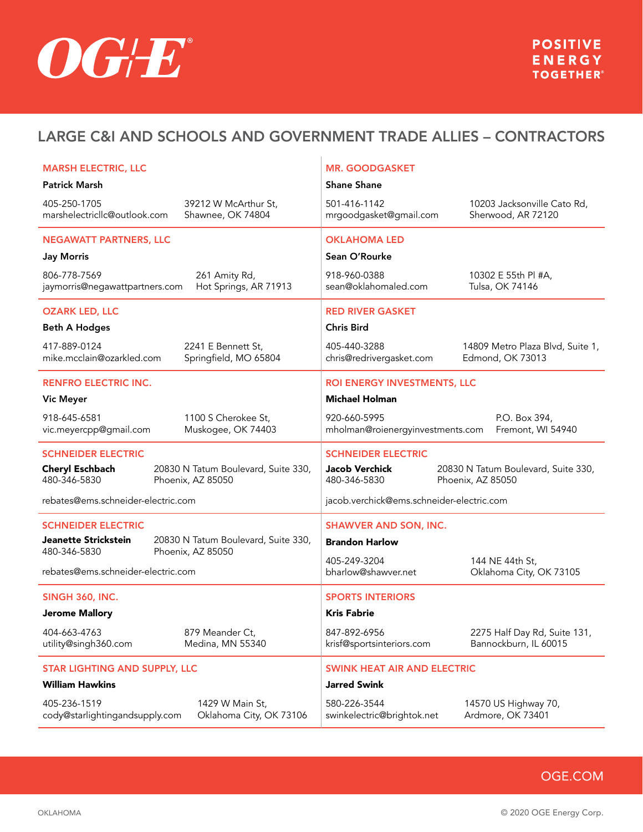

| <b>MARSH ELECTRIC, LLC</b>                     |                                                          | <b>MR. GOODGASKET</b>                            |                                                          |
|------------------------------------------------|----------------------------------------------------------|--------------------------------------------------|----------------------------------------------------------|
| <b>Patrick Marsh</b>                           |                                                          | <b>Shane Shane</b>                               |                                                          |
| 405-250-1705<br>marshelectricllc@outlook.com   | 39212 W McArthur St,<br>Shawnee, OK 74804                | 501-416-1142<br>mrgoodgasket@gmail.com           | 10203 Jacksonville Cato Rd,<br>Sherwood, AR 72120        |
| <b>NEGAWATT PARTNERS, LLC</b>                  |                                                          | <b>OKLAHOMA LED</b>                              |                                                          |
| <b>Jay Morris</b>                              |                                                          | Sean O'Rourke                                    |                                                          |
| 806-778-7569<br>jaymorris@negawattpartners.com | 261 Amity Rd,<br>Hot Springs, AR 71913                   | 918-960-0388<br>sean@oklahomaled.com             | 10302 E 55th PI #A,<br>Tulsa, OK 74146                   |
| <b>OZARK LED, LLC</b>                          |                                                          | <b>RED RIVER GASKET</b>                          |                                                          |
| <b>Beth A Hodges</b>                           |                                                          | <b>Chris Bird</b>                                |                                                          |
| 417-889-0124<br>mike.mcclain@ozarkled.com      | 2241 E Bennett St,<br>Springfield, MO 65804              | 405-440-3288<br>chris@redrivergasket.com         | 14809 Metro Plaza Blvd, Suite 1,<br>Edmond, OK 73013     |
| <b>RENFRO ELECTRIC INC.</b>                    |                                                          | ROI ENERGY INVESTMENTS, LLC                      |                                                          |
| <b>Vic Meyer</b>                               |                                                          | <b>Michael Holman</b>                            |                                                          |
| 918-645-6581<br>vic.meyercpp@gmail.com         | 1100 S Cherokee St,<br>Muskogee, OK 74403                | 920-660-5995<br>mholman@roienergyinvestments.com | P.O. Box 394,<br>Fremont, WI 54940                       |
| <b>SCHNEIDER ELECTRIC</b>                      |                                                          | <b>SCHNEIDER ELECTRIC</b>                        |                                                          |
| <b>Cheryl Eschbach</b><br>480-346-5830         | 20830 N Tatum Boulevard, Suite 330,<br>Phoenix, AZ 85050 | <b>Jacob Verchick</b><br>480-346-5830            | 20830 N Tatum Boulevard, Suite 330,<br>Phoenix, AZ 85050 |
| rebates@ems.schneider-electric.com             |                                                          | jacob.verchick@ems.schneider-electric.com        |                                                          |
| <b>SCHNEIDER ELECTRIC</b>                      |                                                          | <b>SHAWVER AND SON, INC.</b>                     |                                                          |
| Jeanette Strickstein                           | 20830 N Tatum Boulevard, Suite 330,                      | <b>Brandon Harlow</b>                            |                                                          |
| 480-346-5830                                   | Phoenix, AZ 85050                                        | 405-249-3204                                     | 144 NE 44th St,                                          |
| rebates@ems.schneider-electric.com             |                                                          | bharlow@shawver.net                              | Oklahoma City, OK 73105                                  |
| <b>SINGH 360, INC.</b>                         |                                                          | <b>SPORTS INTERIORS</b>                          |                                                          |
| <b>Jerome Mallory</b>                          |                                                          | <b>Kris Fabrie</b>                               |                                                          |
| 404-663-4763<br>utility@singh360.com           | 879 Meander Ct,<br>Medina, MN 55340                      | 847-892-6956<br>krisf@sportsinteriors.com        | 2275 Half Day Rd, Suite 131,<br>Bannockburn, IL 60015    |
| <b>STAR LIGHTING AND SUPPLY, LLC</b>           |                                                          | <b>SWINK HEAT AIR AND ELECTRIC</b>               |                                                          |
| <b>William Hawkins</b>                         |                                                          | <b>Jarred Swink</b>                              |                                                          |
| 405-236-1519<br>cody@starlightingandsupply.com | 1429 W Main St,<br>Oklahoma City, OK 73106               | 580-226-3544<br>swinkelectric@brightok.net       | 14570 US Highway 70,<br>Ardmore, OK 73401                |